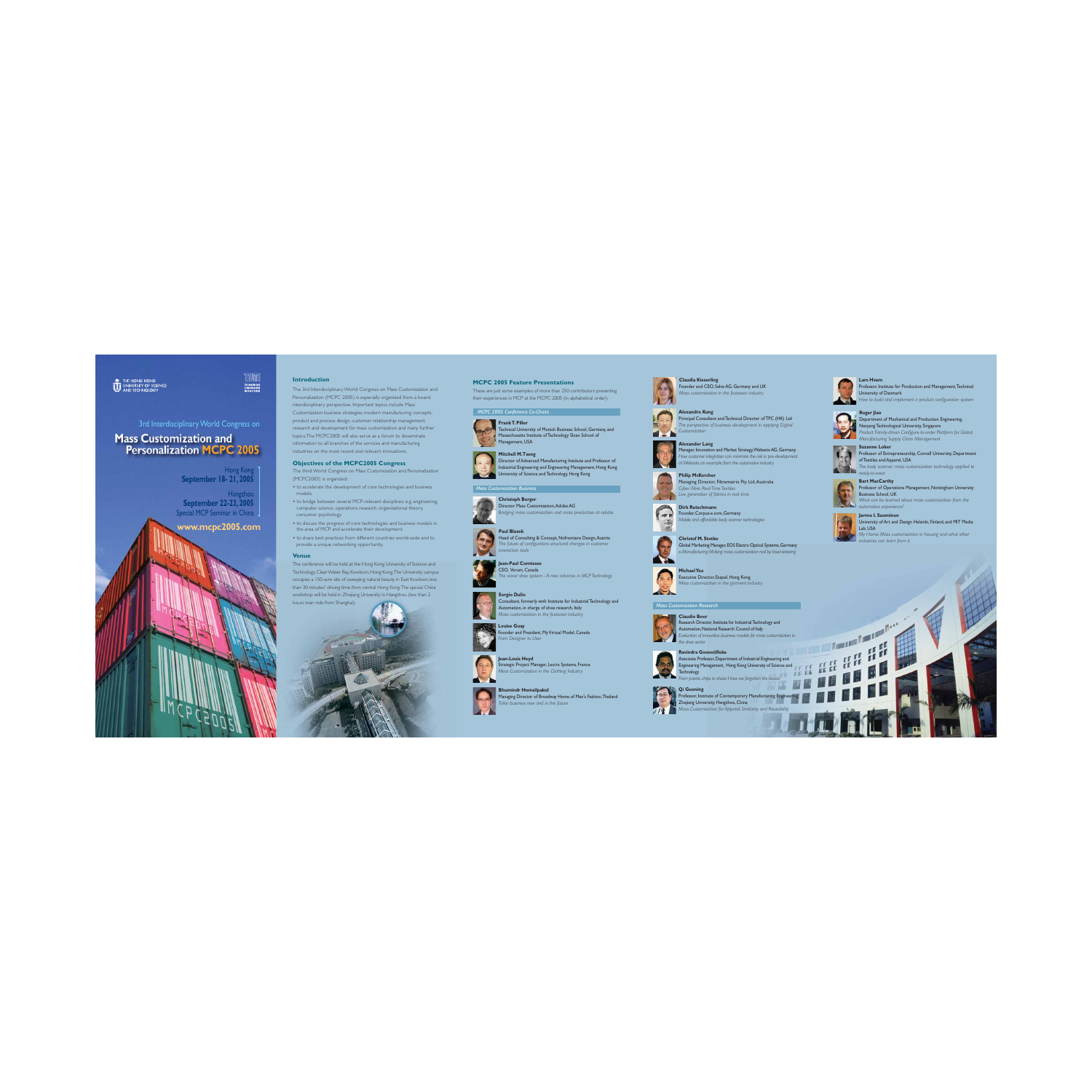

# 3rd Interdisciplinary World Congress on **Mass Customization and Personalization MCPC 2005**

## **Introduction**

The 3rd Interdisciplinary World Congress on Mass Customization and Personalization (MCPC 2005) is especially organized from a board, interdisciplinary perspective. Important topics include Mass Customization business strategies, modern manufacturing concepts, product and process design, customer relationship management, research and development for mass customization and many fur ther topics.The MCPC2005 will also serve as a forum to disseminate information to all branches of the services and manufacturing industries on the most recent and relevant innovations.

- to accelerate the development of core technologies and business models.
- to bridge between several MCP-relevant disciplines; e.g. engineering, computer science, operations research, organizational theory, consumer psychology.
- to discuss the progress of core technologies and business models in the area of MCP and accelerate their development.
- to share best practices from different countries world-wide and to provide a unique networking opportunity.

# **Objectives of the MCPC2005 Congress**

The third World Congress on Mass Customization and Personalization (MCPC2005) is organized:

**Hangzhou September 22-23, 2005** Special MCP Seminar in China

#### **Venue**

The conference will be held at the Hong Kong University of Science and Technology, ClearWater Bay, Kowloon, Hong Kong.The University campus occupies a 150-acre site of sweeping natural beauty in East Kowloon, less than 30 minutes' driving time from central Hong Kong.The special China workshop will be held in Zhejiang University in Hangzhou (less than 2 hours train ride from Shanghai).

# Hong Kong **September 18- 21, 2005**

**TECHNISCHE**<br>UNIVERSITÄT<br>MÜNCHEN

**www.mcpc2005.com**



These are just some examples of more than 250 contributors presenting their experiences in MCP at the MCPC 2005 (in alphabetical order):



**Christoph Berger** Director Mass Customization,Adidas AG *Bridging mass customization and mass production at adidas*



Head of Consulting & Concept, Nofrontiere Design,Austria *The future of configurators structural changes in customer interaction tools*



**Sergio Dulio** Consultant, formerly with Institute for Industrial Technology and Automation, in charge of shoe research, Italy *Mass customization in the footwear industry*



**Jean-Paul Comtesse** CEO, Vorum, Canada *The viavor shoe system - A new advance in MCP Technology*



**Bhumindr Homsilpakul** Managing Director of Broadway Home of Men's Fashion,Thailand *Tailor business now and in the future*

























Professor, Institute for Production and Management, Technical University of Denmark *How to build and implement a product configuration system*

Associate Professor, Department of Industrial Engineering and Engineering Management, Hong Kong University of Science and Technology echnology

**Alexandre Kung** Principal Consultant and Technical Director of TPC (HK) Ltd *The perspective of business development in applying Digital Customization*

#### **Philip McKercher**

Managing Director, Fibrematrix Pty Ltd,Australia *Cyber Fibre. Real Time Textiles Live generation of fabrics in real time*

**MichaelYee** Executive Director, Esquel, Hong Kong *Mass customization in the garment industry*



**Louise Guay** Founder and President, My Virtual Model, Canada *From Designer to User*

#### **Claudia Kieserling** Founder and CEO, Selve AG, Germany and UK *Mass customization in the footwear industry*



**Jean-Louis Heyd** Strategic Project Manager, Lectra Systems, France *Mass Customization in the Clothing Industry*

**Alexander Lang** Manager, Innovation and Market Strategy,Webasto AG, Germany *How customer integration can minimize the risk in pre-development atWebasto: an example from the automotive industry*

**Dirk Rutschmann** Founder, Corpus-e.com, Germany

*Mobile and affordable body scanner technologies*

**Christof M. Stotko** Global Marketing Manager, EOS Electro Optical Systems, Germany *e-Manufacturing: Making mass customization real by laser-sintering*

#### **Claudio Boer** Research Director, Institute for IndustrialTechnology and Automation, National Research Council of Italy *Evaluation of innovative business models for mass customization in the shoe sector*



**Roger Jiao** Department of Mechanical and Production Engineering, Nanyang Technological University, Singapore *Product Family-driven Configure-to-order Platform for Global Manufacturing Supply Chain Management*



**Suzanne Loker** Professor of Entrepreneurship, Cornell University, Department of Textiles and Apparel, USA *The body scanner: mass customization technology applied to ready-to-wear* **Bart MacCarthy**



Professor of Operations Management, Nottingham University Business School, UK *What can be learned about mass customization from the automotive experience?*





University of Art and Design Helsinki, Finland, and MIT Media Lab, USA

*My Home: Mass customization in housing and what other industries can learn from it*

**Mitchell M.Tseng** Director of Advanced Manufacturing Institute and Professor of ndustrial Engineering and Engineering Management, Hong Kong University of Science and Technology, Hong Kong



Technical University of Munich Business School, Germany, and Massachusetts Institute of Technology Sloan School of Management, USA





#### **Ravindra Goonetilleke**

*From potato chips to shoes:Have we forgotten the basics?*



Professor, Institute of Contemporary Manufacturing Engineering, Zhejiang University, Hangzhou, China *Mass Customization for Apparel: Similarity and Reusability*

# *MCPC 2005 Conference Co-Chairs*

#### *Mass Customization Research*

#### *Mass Customization Business*